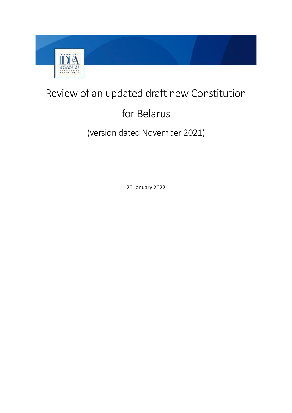

## Review of an updated draft new Constitution

# for Belarus

## (version dated November 2021)

20 January 2022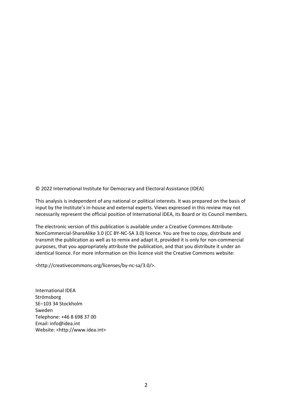© 2022 International Institute for Democracy and Electoral Assistance (IDEA)

This analysis is independent of any national or political interests. It was prepared on the basis of input by the Institute's in-house and external experts. Views expressed in this review may not necessarily represent the official position of International IDEA, its Board or its Council members.

The electronic version of this publication is available under a Creative Commons Attribute-NonCommercial-ShareAlike 3.0 (CC BY-NC-SA 3.0) licence. You are free to copy, distribute and transmit the publication as well as to remix and adapt it, provided it is only for non-commercial purposes, that you appropriately attribute the publication, and that you distribute it under an identical licence. For more information on this licence visit the Creative Commons website:

<http://creativecommons.org/licenses/by-nc-sa/3.0/>.

International IDEA Strömsborg SE–103 34 Stockholm Sweden Telephone: +46 8 698 37 00 Email: info@idea.int Website: <http://www.idea.int>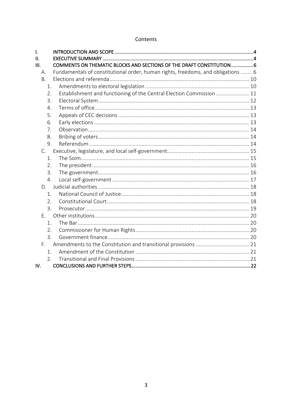#### Contents

| I.             |                                                                                  |
|----------------|----------------------------------------------------------------------------------|
| 11.            |                                                                                  |
| III.           | COMMENTS ON THEMATIC BLOCKS AND SECTIONS OF THE DRAFT CONSTITUTION               |
| Α.             | Fundamentals of constitutional order, human rights, freedoms, and obligations  6 |
| <b>B.</b>      |                                                                                  |
| 1.             |                                                                                  |
| 2.             | Establishment and functioning of the Central Election Commission  11             |
| 3.             |                                                                                  |
| 4.             |                                                                                  |
| 5.             |                                                                                  |
| 6.             |                                                                                  |
| 7.             |                                                                                  |
| 8.             |                                                                                  |
| 9.             |                                                                                  |
| $C_{\cdot}$    |                                                                                  |
| 1.             |                                                                                  |
| 2.             |                                                                                  |
| 3.             |                                                                                  |
| 4.             |                                                                                  |
| D.             |                                                                                  |
| 1.             |                                                                                  |
| 2.             |                                                                                  |
| 3.             |                                                                                  |
| Е.             |                                                                                  |
| $\mathbf{1}$ . |                                                                                  |
| 2.             |                                                                                  |
| 3.             |                                                                                  |
| F.             |                                                                                  |
| 1.             |                                                                                  |
| 2.5            |                                                                                  |
| IV.            |                                                                                  |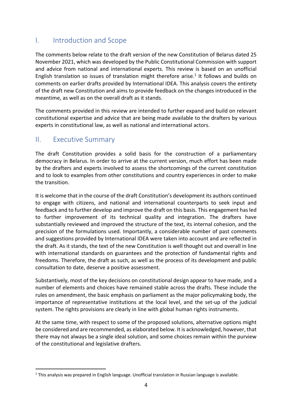## I. Introduction and Scope

The comments below relate to the draft version of the new Constitution of Belarus dated 25 November 2021, which was developed by the Public Constitutional Commission with support and advice from national and international experts. This review is based on an unofficial English translation so issues of translation might therefore arise.<sup>1</sup> It follows and builds on comments on earlier drafts provided by International IDEA. This analysis covers the entirety of the draft new Constitution and aims to provide feedback on the changes introduced in the meantime, as well as on the overall draft as it stands.

The comments provided in this review are intended to further expand and build on relevant constitutional expertise and advice that are being made available to the drafters by various experts in constitutional law, as well as national and international actors.

### II. Executive Summary

The draft Constitution provides a solid basis for the construction of a parliamentary democracy in Belarus. In order to arrive at the current version, much effort has been made by the drafters and experts involved to assess the shortcomings of the current constitution and to look to examples from other constitutions and country experiences in order to make the transition.

It is welcome that in the course of the draft Constitution's development its authors continued to engage with citizens, and national and international counterparts to seek input and feedback and to further develop and improve the draft on this basis. This engagement has led to further improvement of its technical quality and integration. The drafters have substantially reviewed and improved the structure of the text, its internal cohesion, and the precision of the formulations used. Importantly, a considerable number of past comments and suggestions provided by International IDEA were taken into account and are reflected in the draft. As it stands, the text of the new Constitution is well thought out and overall in line with international standards on guarantees and the protection of fundamental rights and freedoms. Therefore, the draft as such, as well as the process of its development and public consultation to date, deserve a positive assessment.

Substantively, most of the key decisions on constitutional design appear to have made, and a number of elements and choices have remained stable across the drafts. These include the rules on amendment, the basic emphasis on parliament as the major policymaking body, the importance of representative institutions at the local level, and the set-up of the judicial system. The rights provisions are clearly in line with global human rights instruments.

At the same time, with respect to some of the proposed solutions, alternative options might be considered and are recommended, as elaborated below. It is acknowledged, however, that there may not always be a single ideal solution, and some choices remain within the purview of the constitutional and legislative drafters.

 $1$  This analysis was prepared in English language. Unofficial translation in Russian language is available.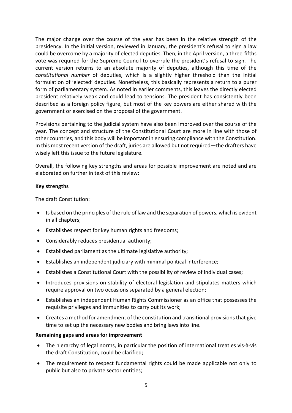The major change over the course of the year has been in the relative strength of the presidency. In the initial version, reviewed in January, the president's refusal to sign a law could be overcome by a majority of elected deputies. Then, in the April version, a three-fifths vote was required for the Supreme Council to overrule the president's refusal to sign. The current version returns to an absolute majority of deputies, although this time of the *constitutional number* of deputies, which is a slightly higher threshold than the initial formulation of 'elected' deputies. Nonetheless, this basically represents a return to a purer form of parliamentary system. As noted in earlier comments, this leaves the directly elected president relatively weak and could lead to tensions. The president has consistently been described as a foreign policy figure, but most of the key powers are either shared with the government or exercised on the proposal of the government.

Provisions pertaining to the judicial system have also been improved over the course of the year. The concept and structure of the Constitutional Court are more in line with those of other countries, and this body will be important in ensuring compliance with the Constitution. In this most recent version of the draft, juries are allowed but not required—the drafters have wisely left this issue to the future legislature.

Overall, the following key strengths and areas for possible improvement are noted and are elaborated on further in text of this review:

#### **Key strengths**

The draft Constitution:

- Is based on the principles of the rule of law and the separation of powers, which is evident in all chapters;
- Establishes respect for key human rights and freedoms;
- Considerably reduces presidential authority;
- Established parliament as the ultimate legislative authority;
- Establishes an independent judiciary with minimal political interference;
- Establishes a Constitutional Court with the possibility of review of individual cases;
- Introduces provisions on stability of electoral legislation and stipulates matters which require approval on two occasions separated by a general election;
- Establishes an independent Human Rights Commissioner as an office that possesses the requisite privileges and immunities to carry out its work;
- Creates a method for amendment of the constitution and transitional provisions that give time to set up the necessary new bodies and bring laws into line.

#### **Remaining gaps and areas for improvement**

- The hierarchy of legal norms, in particular the position of international treaties vis-à-vis the draft Constitution, could be clarified;
- The requirement to respect fundamental rights could be made applicable not only to public but also to private sector entities;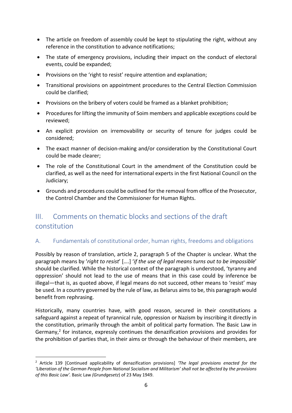- The article on freedom of assembly could be kept to stipulating the right, without any reference in the constitution to advance notifications;
- The state of emergency provisions, including their impact on the conduct of electoral events, could be expanded;
- Provisions on the 'right to resist' require attention and explanation;
- Transitional provisions on appointment procedures to the Central Election Commission could be clarified;
- Provisions on the bribery of voters could be framed as a blanket prohibition;
- Procedures for lifting the immunity of Soim members and applicable exceptions could be reviewed;
- An explicit provision on irremovability or security of tenure for judges could be considered;
- The exact manner of decision-making and/or consideration by the Constitutional Court could be made clearer;
- The role of the Constitutional Court in the amendment of the Constitution could be clarified, as well as the need for international experts in the first National Council on the Judiciary;
- Grounds and procedures could be outlined for the removal from office of the Prosecutor, the Control Chamber and the Commissioner for Human Rights.

## III. Comments on thematic blocks and sections of the draft constitution

#### A. Fundamentals of constitutional order, human rights, freedoms and obligations

Possibly by reason of translation, article 2, paragraph 5 of the Chapter is unclear. What the paragraph means by '*right to resist*' [….] '*if the use of legal means turns out to be impossible*' should be clarified. While the historical context of the paragraph is understood, 'tyranny and oppression' should not lead to the use of means that in this case could by inference be illegal—that is, as quoted above, if legal means do not succeed, other means to 'resist' may be used. In a country governed by the rule of law, as Belarus aims to be, this paragraph would benefit from rephrasing.

Historically, many countries have, with good reason, secured in their constitutions a safeguard against a repeat of tyrannical rule, oppression or Nazism by inscribing it directly in the constitution, primarily through the ambit of political party formation. The Basic Law in Germany,<sup>2</sup> for instance, expressly continues the denazification provisions and provides for the prohibition of parties that, in their aims or through the behaviour of their members, are

<sup>2</sup> Article 139 [Continued applicability of denazification provisions] *'The legal provisions enacted for the 'Liberation of the German People from National Socialism and Militarism' shall not be affected by the provisions of this Basic Law'.* Basic Law *(Grundgesetz*) of 23 May 1949.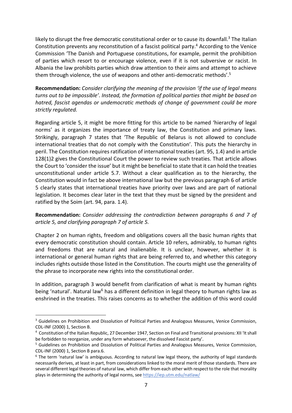likely to disrupt the free democratic constitutional order or to cause its downfall.<sup>3</sup> The Italian Constitution prevents any reconstitution of a fascist political party.4 According to the Venice Commission 'The Danish and Portuguese constitutions, for example, permit the prohibition of parties which resort to or encourage violence, even if it is not subversive or racist. In Albania the law prohibits parties which draw attention to their aims and attempt to achieve them through violence, the use of weapons and other anti-democratic methods'. 5

**Recommendation:** *Consider clarifying the meaning of the provision 'if the use of legal means turns out to be impossible'*. *Instead, the formation of political parties that might be based on hatred, fascist agendas or undemocratic methods of change of government could be more strictly regulated.* 

Regarding article 5, it might be more fitting for this article to be named 'hierarchy of legal norms' as it organizes the importance of treaty law, the Constitution and primary laws. Strikingly, paragraph 7 states that 'The Republic of Belarus is not allowed to conclude international treaties that do not comply with the Constitution'. This puts the hierarchy in peril. The Constitution requires ratification of international treaties (art. 95, 1.4) and in article 128(1)2 gives the Constitutional Court the power to review such treaties. That article allows the Court to 'consider the issue' but it might be beneficial to state that it can hold the treaties unconstitutional under article 5.7. Without a clear qualification as to the hierarchy, the Constitution would in fact be above international law but the previous paragraph 6 of article 5 clearly states that international treaties have priority over laws and are part of national legislation. It becomes clear later in the text that they must be signed by the president and ratified by the Soim (art. 94, para. 1.4).

#### **Recommendation:** *Consider addressing the contradiction between paragraphs 6 and 7 of article 5, and clarifying paragraph 7 of article 5.*

Chapter 2 on human rights, freedom and obligations covers all the basic human rights that every democratic constitution should contain. Article 10 refers, admirably, to human rights and freedoms that are natural and inalienable. It is unclear, however, whether it is international or general human rights that are being referred to, and whether this category includes rights outside those listed in the Constitution. The courts might use the generality of the phrase to incorporate new rights into the constitutional order.

In addition, paragraph 3 would benefit from clarification of what is meant by human rights being 'natural'. Natural law<sup>6</sup> has a different definition in legal theory to human rights law as enshrined in the treaties. This raises concerns as to whether the addition of this word could

<sup>&</sup>lt;sup>3</sup> Guidelines on Prohibition and Dissolution of Political Parties and Analogous Measures, Venice Commission, CDL-INF (2000) 1, Section B. 4

Constitution of the Italian Republic, 27 December 1947, Section on Final and Transitional provisions: XII 'It shall be forbidden to reorganize, under any form whatsoever, the dissolved Fascist party'.

<sup>5</sup> Guidelines on Prohibition and Dissolution of Political Parties and Analogous Measures, Venice Commission, CDL-INF (2000) 1, Section B para.6.

 $6$  The term 'natural law' is ambiguous. According to natural law legal theory, the authority of legal standards necessarily derives, at least in part, from considerations linked to the moral merit of those standards. There are several different legal theories of natural law, which differ from each other with respect to the role that morality plays in determining the authority of legal norms, see https://iep.utm.edu/natlaw/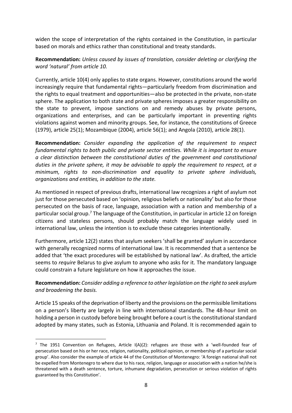widen the scope of interpretation of the rights contained in the Constitution, in particular based on morals and ethics rather than constitutional and treaty standards.

**Recommendation:** *Unless caused by issues of translation, consider deleting or clarifying the word 'natural' from article 10.*

Currently, article 10(4) only applies to state organs. However, constitutions around the world increasingly require that fundamental rights—particularly freedom from discrimination and the rights to equal treatment and opportunities—also be protected in the private, non-state sphere. The application to both state and private spheres imposes a greater responsibility on the state to prevent, impose sanctions on and remedy abuses by private persons, organizations and enterprises, and can be particularly important in preventing rights violations against women and minority groups. See, for instance, the constitutions of Greece (1979), article 25(1); Mozambique (2004), article 56(1); and Angola (2010), article 28(1).

**Recommendation:** *Consider expanding the application of the requirement to respect fundamental rights to both public and private sector entities. While it is important to ensure a clear distinction between the constitutional duties of the government and constitutional duties in the private sphere, it may be advisable to apply the requirement to respect, at a minimum, rights to non-discrimination and equality to private sphere individuals, organizations and entities, in addition to the state.* 

As mentioned in respect of previous drafts, international law recognizes a right of asylum not just for those persecuted based on 'opinion, religious beliefs or nationality' but also for those persecuted on the basis of race, language, association with a nation and membership of a particular social group.<sup>7</sup> The language of the Constitution, in particular in article 12 on foreign citizens and stateless persons, should probably match the language widely used in international law, unless the intention is to exclude these categories intentionally.

Furthermore, article 12(2) states that asylum seekers 'shall be granted' asylum in accordance with generally recognized norms of international law. It is recommended that a sentence be added that 'the exact procedures will be established by national law'. As drafted, the article seems to *require* Belarus to give asylum to anyone who asks for it. The mandatory language could constrain a future legislature on how it approaches the issue.

#### **Recommendation:** *Consider adding a reference to other legislation on the right to seek asylum and broadening the basis.*

Article 15 speaks of the deprivation of liberty and the provisions on the permissible limitations on a person's liberty are largely in line with international standards. The 48-hour limit on holding a person in custody before being brought before a court isthe constitutional standard adopted by many states, such as Estonia, Lithuania and Poland. It is recommended again to

<sup>&</sup>lt;sup>7</sup> The 1951 Convention on Refugees, Article  $I(A)(2)$ : refugees are those with a 'well-founded fear of persecution based on his or her race, religion, nationality, political opinion, or membership of a particular social group'. Also consider the example of article 44 of the Constitution of Montenegro: 'A foreign national shall not be expelled from Montenegro to where due to his race, religion, language or association with a nation he/she is threatened with a death sentence, torture, inhumane degradation, persecution or serious violation of rights guaranteed by this Constitution'.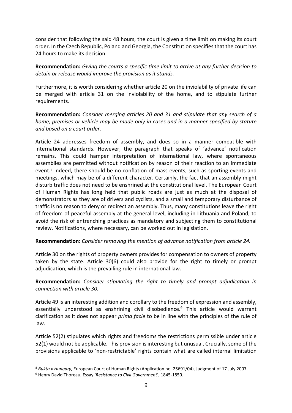consider that following the said 48 hours, the court is given a time limit on making its court order. In the Czech Republic, Poland and Georgia, the Constitution specifies that the court has 24 hours to make its decision.

**Recommendation:** *Giving the courts a specific time limit to arrive at any further decision to detain or release would improve the provision as it stands.* 

Furthermore, it is worth considering whether article 20 on the inviolability of private life can be merged with article 31 on the inviolability of the home, and to stipulate further requirements.

**Recommendation:** *Consider merging articles 20 and 31 and stipulate that any search of a home, premises or vehicle may be made only in cases and in a manner specified by statute and based on a court order.*

Article 24 addresses freedom of assembly, and does so in a manner compatible with international standards. However, the paragraph that speaks of 'advance' notification remains. This could hamper interpretation of international law, where spontaneous assemblies are permitted without notification by reason of their reaction to an immediate event.<sup>8</sup> Indeed, there should be no conflation of mass events, such as sporting events and meetings, which may be of a different character. Certainly, the fact that an assembly might disturb traffic does not need to be enshrined at the constitutional level. The European Court of Human Rights has long held that public roads are just as much at the disposal of demonstrators as they are of drivers and cyclists, and a small and temporary disturbance of traffic is no reason to deny or redirect an assembly. Thus, many constitutions leave the right of freedom of peaceful assembly at the general level, including in Lithuania and Poland, to avoid the risk of entrenching practices as mandatory and subjecting them to constitutional review. Notifications, where necessary, can be worked out in legislation.

#### **Recommendation:** *Consider removing the mention of advance notification from article 24.*

Article 30 on the rights of property owners provides for compensation to owners of property taken by the state. Article 30(6) could also provide for the right to timely or prompt adjudication, which is the prevailing rule in international law.

**Recommendation:** *Consider stipulating the right to timely and prompt adjudication in connection with article 30.*

Article 49 is an interesting addition and corollary to the freedom of expression and assembly, essentially understood as enshrining civil disobedience.9 This article would warrant clarification as it does not appear *prima facie* to be in line with the principles of the rule of law.

Article 52(2) stipulates which rights and freedoms the restrictions permissible under article 52(1) would not be applicable. This provision is interesting but unusual. Crucially, some of the provisions applicable to 'non-restrictable' rights contain what are called internal limitation

<sup>8</sup> *Bukta v Hungary,* European Court of Human Rights (Application no. 25691/04), Judgment of 17 July 2007.

<sup>9</sup> Henry David Thoreau, Essay '*Resistance to Civil Government*', 1845-1850.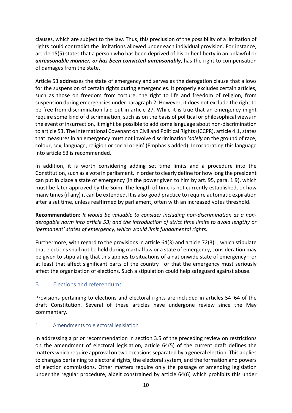clauses, which are subject to the law. Thus, this preclusion of the possibility of a limitation of rights could contradict the limitations allowed under each individual provision. For instance, article 15(5) states that a person who has been deprived of his or her liberty in an unlawful or *unreasonable manner, or has been convicted unreasonably*, has the right to compensation of damages from the state.

Article 53 addresses the state of emergency and serves as the derogation clause that allows for the suspension of certain rights during emergencies. It properly excludes certain articles, such as those on freedom from torture, the right to life and freedom of religion, from suspension during emergencies under paragraph 2. However, it does not exclude the right to be free from discrimination laid out in article 27. While it is true that an emergency might require some kind of discrimination, such as on the basis of political or philosophical views in the event of insurrection, it might be possible to add some language about non-discrimination to article 53. The International Covenant on Civil and Political Rights(ICCPR), article 4.1, states that measures in an emergency must not involve discrimination '*solely* on the ground of race, colour, sex, language, religion or social origin' (Emphasis added). Incorporating this language into article 53 is recommended.

In addition, it is worth considering adding set time limits and a procedure into the Constitution, such as a vote in parliament, in order to clearly define for how long the president can put in place a state of emergency (in the power given to him by art. 95, para. 1.9), which must be later approved by the Soim. The length of time is not currently established, or how many times (if any) it can be extended. It is also good practice to require automatic expiration after a set time, unless reaffirmed by parliament, often with an increased votes threshold.

**Recommendation:** *It would be valuable to consider including non-discrimination as a nonderogable norm into article 53; and the introduction of strict time limits to avoid lengthy or 'permanent' states of emergency, which would limit fundamental rights.*

Furthermore, with regard to the provisions in article 64(3) and article 72(3)1, which stipulate that elections shall not be held during martial law or a state of emergency, consideration may be given to stipulating that this applies to situations of a nationwide state of emergency—or at least that affect significant parts of the country—or that the emergency must seriously affect the organization of elections. Such a stipulation could help safeguard against abuse.

#### B. Elections and referendums

Provisions pertaining to elections and electoral rights are included in articles 54–64 of the draft Constitution. Several of these articles have undergone review since the May commentary.

#### 1. Amendments to electoral legislation

In addressing a prior recommendation in section 3.5 of the preceding review on restrictions on the amendment of electoral legislation, article 64(5) of the current draft defines the matters which require approval on two occasions separated by a general election. This applies to changes pertaining to electoral rights, the electoral system, and the formation and powers of election commissions. Other matters require only the passage of amending legislation under the regular procedure, albeit constrained by article 64(6) which prohibits this under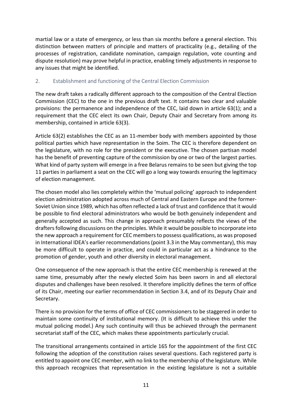martial law or a state of emergency, or less than six months before a general election. This distinction between matters of principle and matters of practicality (e.g., detailing of the processes of registration, candidate nomination, campaign regulation, vote counting and dispute resolution) may prove helpful in practice, enabling timely adjustments in response to any issues that might be identified.

#### 2. Establishment and functioning of the Central Election Commission

The new draft takes a radically different approach to the composition of the Central Election Commission (CEC) to the one in the previous draft text. It contains two clear and valuable provisions: the permanence and independence of the CEC, laid down in article 63(1); and a requirement that the CEC elect its own Chair, Deputy Chair and Secretary from among its membership, contained in article 63(3).

Article 63(2) establishes the CEC as an 11-member body with members appointed by those political parties which have representation in the Soim. The CEC is therefore dependent on the legislature, with no role for the president or the executive. The chosen partisan model has the benefit of preventing capture of the commission by one or two of the largest parties. What kind of party system will emerge in a free Belarus remains to be seen but giving the top 11 parties in parliament a seat on the CEC will go a long way towards ensuring the legitimacy of election management.

The chosen model also lies completely within the 'mutual policing' approach to independent election administration adopted across much of Central and Eastern Europe and the former-Soviet Union since 1989, which has often reflected a lack of trust and confidence that it would be possible to find electoral administrators who would be both genuinely independent and generally accepted as such. This change in approach presumably reflects the views of the drafters following discussions on the principles. While it would be possible to incorporate into the new approach a requirement for CEC members to possess qualifications, as was proposed in International IDEA's earlier recommendations (point 3.3 in the May commentary), this may be more difficult to operate in practice, and could in particular act as a hindrance to the promotion of gender, youth and other diversity in electoral management.

One consequence of the new approach is that the entire CEC membership is renewed at the same time, presumably after the newly elected Soim has been sworn in and all electoral disputes and challenges have been resolved. It therefore implicitly defines the term of office of its Chair, meeting our earlier recommendation in Section 3.4, and of its Deputy Chair and Secretary.

There is no provision for the terms of office of CEC commissioners to be staggered in order to maintain some continuity of institutional memory. (It is difficult to achieve this under the mutual policing model.) Any such continuity will thus be achieved through the permanent secretariat staff of the CEC, which makes these appointments particularly crucial.

The transitional arrangements contained in article 165 for the appointment of the first CEC following the adoption of the constitution raises several questions. Each registered party is entitled to appoint one CEC member, with no link to the membership of the legislature. While this approach recognizes that representation in the existing legislature is not a suitable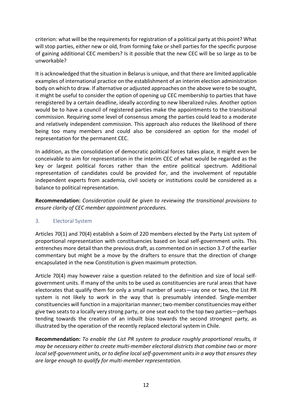criterion: what will be the requirements for registration of a political party at this point? What will stop parties, either new or old, from forming fake or shell parties for the specific purpose of gaining additional CEC members? Is it possible that the new CEC will be so large as to be unworkable?

It is acknowledged that the situation in Belarus is unique, and that there are limited applicable examples of international practice on the establishment of an interim election administration body on which to draw. If alternative or adjusted approaches on the above were to be sought, it might be useful to consider the option of opening up CEC membership to parties that have reregistered by a certain deadline, ideally according to new liberalized rules. Another option would be to have a council of registered parties make the appointments to the transitional commission. Requiring some level of consensus among the parties could lead to a moderate and relatively independent commission. This approach also reduces the likelihood of there being too many members and could also be considered an option for the model of representation for the permanent CEC.

In addition, as the consolidation of democratic political forces takes place, it might even be conceivable to aim for representation in the interim CEC of what would be regarded as the key or largest political forces rather than the entire political spectrum. Additional representation of candidates could be provided for, and the involvement of reputable independent experts from academia, civil society or institutions could be considered as a balance to political representation.

**Recommendation:** *Consideration could be given to reviewing the transitional provisions to ensure clarity of CEC member appointment procedures.*

#### 3. Electoral System

Articles 70(1) and 70(4) establish a Soim of 220 members elected by the Party List system of proportional representation with constituencies based on local self-government units. This entrenches more detail than the previous draft, as commented on in section 3.7 of the earlier commentary but might be a move by the drafters to ensure that the direction of change encapsulated in the new Constitution is given maximum protection.

Article 70(4) may however raise a question related to the definition and size of local selfgovernment units. If many of the units to be used as constituencies are rural areas that have electorates that qualify them for only a small number of seats—say one or two, the List PR system is not likely to work in the way that is presumably intended. Single-member constituencies will function in a majoritarian manner; two-member constituencies may either give two seats to a locally very strong party, or one seat each to the top two parties—perhaps tending towards the creation of an inbuilt bias towards the second strongest party, as illustrated by the operation of the recently replaced electoral system in Chile.

**Recommendation:** *To enable the List PR system to produce roughly proportional results, it may be necessary either to create multi-member electoral districts that combine two or more local self-government units, or to define local self-government units in a way that ensures they are large enough to qualify for multi-member representation.*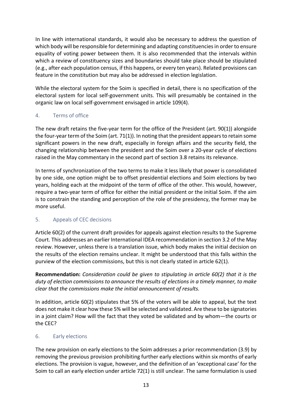In line with international standards, it would also be necessary to address the question of which body will be responsible for determining and adapting constituencies in order to ensure equality of voting power between them. It is also recommended that the intervals within which a review of constituency sizes and boundaries should take place should be stipulated (e.g., after each population census, if this happens, or every ten years). Related provisions can feature in the constitution but may also be addressed in election legislation.

While the electoral system for the Soim is specified in detail, there is no specification of the electoral system for local self-government units. This will presumably be contained in the organic law on local self-government envisaged in article 109(4).

#### 4. Terms of office

The new draft retains the five-year term for the office of the President (art. 90(1)) alongside the four-year term of the Soim (art. 71(1)). In noting that the president appears to retain some significant powers in the new draft, especially in foreign affairs and the security field, the changing relationship between the president and the Soim over a 20-year cycle of elections raised in the May commentary in the second part of section 3.8 retains its relevance.

In terms of synchronization of the two terms to make it less likely that power is consolidated by one side, one option might be to offset presidential elections and Soim elections by two years, holding each at the midpoint of the term of office of the other. This would, however, require a two-year term of office for either the initial president or the initial Soim. If the aim is to constrain the standing and perception of the role of the presidency, the former may be more useful.

#### 5. Appeals of CEC decisions

Article 60(2) of the current draft provides for appeals against election results to the Supreme Court. This addresses an earlier International IDEA recommendation in section 3.2 of the May review. However, unless there is a translation issue, which body makes the initial decision on the results of the election remains unclear. It might be understood that this falls within the purview of the election commissions, but this is not clearly stated in article 62(1).

**Recommendation:** *Consideration could be given to stipulating in article 60(2) that it is the duty of election commissions to announce the results of elections in a timely manner, to make clear that the commissions make the initial announcement of results.*

In addition, article 60(2) stipulates that 5% of the voters will be able to appeal, but the text does not make it clear how these 5% will be selected and validated. Are these to be signatories in a joint claim? How will the fact that they voted be validated and by whom—the courts or the CEC?

#### 6. Early elections

The new provision on early elections to the Soim addresses a prior recommendation (3.9) by removing the previous provision prohibiting further early elections within six months of early elections. The provision is vague, however, and the definition of an 'exceptional case' for the Soim to call an early election under article 72(1) is still unclear. The same formulation is used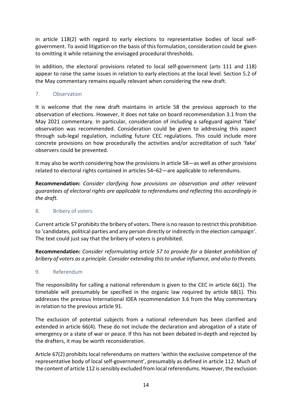in article 118(2) with regard to early elections to representative bodies of local selfgovernment. To avoid litigation on the basis of this formulation, consideration could be given to omitting it while retaining the envisaged procedural thresholds.

In addition, the electoral provisions related to local self-government (arts 111 and 118) appear to raise the same issues in relation to early elections at the local level. Section 5.2 of the May commentary remains equally relevant when considering the new draft.

#### 7. Observation

It is welcome that the new draft maintains in article 58 the previous approach to the observation of elections. However, it does not take on board recommendation 3.1 from the May 2021 commentary. In particular, consideration of including a safeguard against 'fake' observation was recommended. Consideration could be given to addressing this aspect through sub-legal regulation, including future CEC regulations. This could include more concrete provisions on how procedurally the activities and/or accreditation of such 'fake' observers could be prevented.

It may also be worth considering how the provisions in article 58—as well as other provisions related to electoral rights contained in articles 54–62—are applicable to referendums.

**Recommendation:** *Consider clarifying how provisions on observation and other relevant guarantees of electoral rights are applicable to referendums and reflecting this accordingly in the draft.* 

#### 8. Bribery of voters

Current article 57 prohibits the bribery of voters. There is no reason to restrict this prohibition to 'candidates, political parties and any person directly or indirectly in the election campaign'. The text could just say that the bribery of voters is prohibited.

**Recommendation:** *Consider reformulating article 57 to provide for a blanket prohibition of bribery of voters as a principle. Consider extending this to undue influence, and also to threats.* 

#### 9. Referendum

The responsibility for calling a national referendum is given to the CEC in article 66(1). The timetable will presumably be specified in the organic law required by article 68(1). This addresses the previous International IDEA recommendation 3.6 from the May commentary in relation to the previous article 91.

The exclusion of potential subjects from a national referendum has been clarified and extended in article 66(4). These do not include the declaration and abrogation of a state of emergency or a state of war or peace. If this has not been debated in-depth and rejected by the drafters, it may be worth reconsideration.

Article 67(2) prohibits local referendums on matters 'within the exclusive competence of the representative body of local self-government', presumably as defined in article 112. Much of the content of article 112 is sensibly excluded from local referendums. However, the exclusion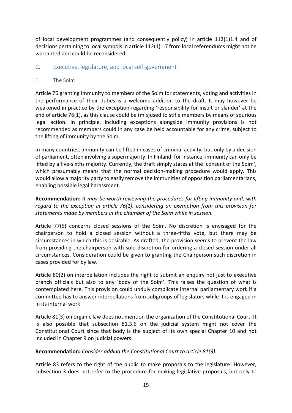of local development programmes (and consequently policy) in article 112(1)1.4 and of decisions pertaining to local symbols in article 112(1)1.7 from local referendums might not be warranted and could be reconsidered.

#### C. Executive, legislature, and local self-government

#### 1. The Soim

Article 76 granting immunity to members of the Soim for statements, voting and activities in the performance of their duties is a welcome addition to the draft. It may however be weakened in practice by the exception regarding 'responsibility for insult or slander' at the end of article 76(1), as this clause could be (mis)used to stifle members by means of spurious legal action. In principle, including exceptions alongside immunity provisions is not recommended as members could in any case be held accountable for any crime, subject to the lifting of immunity by the Soim.

In many countries, immunity can be lifted in cases of criminal activity, but only by a decision of parliament, often involving a supermajority. In Finland, for instance, immunity can only be lifted by a five-sixths majority. Currently, the draft simply states at the 'consent of the Soim', which presumably means that the normal decision-making procedure would apply. This would allow a majority party to easily remove the immunities of opposition parliamentarians, enabling possible legal harassment.

**Recommendation:** *It may be worth reviewing the procedures for lifting immunity and, with regard to the exception in article 76(1), considering an exemption from this provision for statements made by members in the chamber of the Soim while in session.*

Article 77(5) concerns closed sessions of the Soim. No discretion is envisaged for the chairperson to hold a closed session without a three-fifths vote, but there may be circumstances in which this is desirable. As drafted, the provision seems to prevent the law from providing the chairperson with sole discretion for ordering a closed session under all circumstances. Consideration could be given to granting the Chairperson such discretion in cases provided for by law.

Article 80(2) on interpellation includes the right to submit an enquiry not just to executive branch officials but also to any 'body of the Soim'. This raises the question of what is contemplated here. This provision could unduly complicate internal parliamentary work if a committee has to answer interpellations from subgroups of legislators while it is engaged in in its internal work.

Article 81(3) on organic law does not mention the organization of the Constitutional Court. It is also possible that subsection 81.3.6 on the judicial system might not cover the Constitutional Court since that body is the subject of its own special Chapter 10 and not included in Chapter 9 on judicial powers.

#### **Recommendation:** *Consider adding the Constitutional Court to article 81(3).*

Article 83 refers to the right of the public to make proposals to the legislature. However, subsection 3 does not refer to the procedure for making legislative proposals, but only to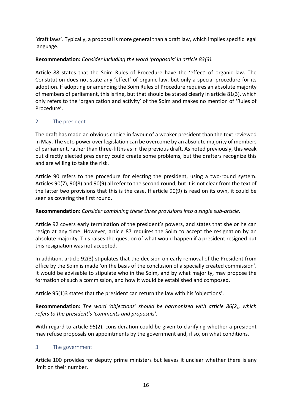'draft laws'. Typically, a proposal is more general than a draft law, which implies specific legal language.

#### **Recommendation:** *Consider including the word 'proposals' in article 83(3).*

Article 88 states that the Soim Rules of Procedure have the 'effect' of organic law. The Constitution does not state any 'effect' of organic law, but only a special procedure for its adoption. If adopting or amending the Soim Rules of Procedure requires an absolute majority of members of parliament, this is fine, but that should be stated clearly in article 81(3), which only refers to the 'organization and activity' of the Soim and makes no mention of 'Rules of Procedure'.

#### 2. The president

The draft has made an obvious choice in favour of a weaker president than the text reviewed in May. The veto power over legislation can be overcome by an absolute majority of members of parliament, rather than three-fifths as in the previous draft. As noted previously, this weak but directly elected presidency could create some problems, but the drafters recognize this and are willing to take the risk.

Article 90 refers to the procedure for electing the president, using a two-round system. Articles 90(7), 90(8) and 90(9) all refer to the second round, but it is not clear from the text of the latter two provisions that this is the case. If article 90(9) is read on its own, it could be seen as covering the first round.

#### **Recommendation:** *Consider combining these three provisions into a single sub-article.*

Article 92 covers early termination of the president's powers, and states that she or he can resign at any time. However, article 87 requires the Soim to accept the resignation by an absolute majority. This raises the question of what would happen if a president resigned but this resignation was not accepted.

In addition, article 92(3) stipulates that the decision on early removal of the President from office by the Soim is made 'on the basis of the conclusion of a specially created commission'. It would be advisable to stipulate who in the Soim, and by what majority, may propose the formation of such a commission, and how it would be established and composed.

Article 95(1)3 states that the president can return the law with his 'objections'.

**Recommendation:** *The word 'objections' should be harmonized with article 86(2), which refers to the president's 'comments and proposals'.*

With regard to article 95(2), consideration could be given to clarifying whether a president may refuse proposals on appointments by the government and, if so, on what conditions.

#### 3. The government

Article 100 provides for deputy prime ministers but leaves it unclear whether there is any limit on their number.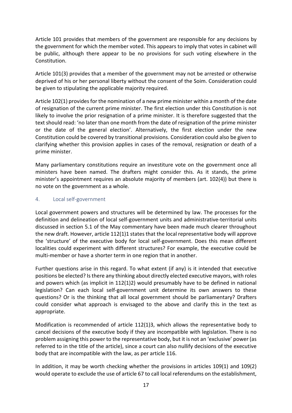Article 101 provides that members of the government are responsible for any decisions by the government for which the member voted. This appears to imply that votes in cabinet will be public, although there appear to be no provisions for such voting elsewhere in the Constitution.

Article 101(3) provides that a member of the government may not be arrested or otherwise deprived of his or her personal liberty without the consent of the Soim. Consideration could be given to stipulating the applicable majority required.

Article 102(1) provides for the nomination of a new prime minister within a month of the date of resignation of the current prime minister. The first election under this Constitution is not likely to involve the prior resignation of a prime minister. It is therefore suggested that the text should read: 'no later than one month from the date of resignation of the prime minister or the date of the general election'. Alternatively, the first election under the new Constitution could be covered by transitional provisions. Consideration could also be given to clarifying whether this provision applies in cases of the removal, resignation or death of a prime minister.

Many parliamentary constitutions require an investiture vote on the government once all ministers have been named. The drafters might consider this. As it stands, the prime minister's appointment requires an absolute majority of members (art. 102(4)) but there is no vote on the government as a whole.

#### 4. Local self-government

Local government powers and structures will be determined by law. The processes for the definition and delineation of local self-government units and administrative-territorial units discussed in section 5.1 of the May commentary have been made much clearer throughout the new draft. However, article 112(1)1 states that the local representative body will approve the 'structure' of the executive body for local self-government. Does this mean different localities could experiment with different structures? For example, the executive could be multi-member or have a shorter term in one region that in another.

Further questions arise in this regard. To what extent (if any) is it intended that executive positions be elected? Is there any thinking about directly elected executive mayors, with roles and powers which (as implicit in 112(1)2) would presumably have to be defined in national legislation? Can each local self-government unit determine its own answers to these questions? Or is the thinking that all local government should be parliamentary? Drafters could consider what approach is envisaged to the above and clarify this in the text as appropriate.

Modification is recommended of article 112(1)3, which allows the representative body to cancel decisions of the executive body if they are incompatible with legislation. There is no problem assigning this power to the representative body, but it is not an 'exclusive' power (as referred to in the title of the article), since a court can also nullify decisions of the executive body that are incompatible with the law, as per article 116.

In addition, it may be worth checking whether the provisions in articles 109(1) and 109(2) would operate to exclude the use of article 67 to call local referendums on the establishment,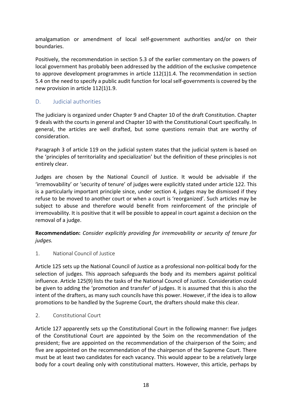amalgamation or amendment of local self-government authorities and/or on their boundaries.

Positively, the recommendation in section 5.3 of the earlier commentary on the powers of local government has probably been addressed by the addition of the exclusive competence to approve development programmes in article 112(1)1.4. The recommendation in section 5.4 on the need to specify a public audit function for local self-governments is covered by the new provision in article 112(1)1.9.

#### D. Judicial authorities

The judiciary is organized under Chapter 9 and Chapter 10 of the draft Constitution. Chapter 9 deals with the courts in general and Chapter 10 with the Constitutional Court specifically. In general, the articles are well drafted, but some questions remain that are worthy of consideration.

Paragraph 3 of article 119 on the judicial system states that the judicial system is based on the 'principles of territoriality and specialization' but the definition of these principles is not entirely clear.

Judges are chosen by the National Council of Justice. It would be advisable if the 'irremovability' or 'security of tenure' of judges were explicitly stated under article 122. This is a particularly important principle since, under section 4, judges may be dismissed if they refuse to be moved to another court or when a court is 'reorganized'. Such articles may be subject to abuse and therefore would benefit from reinforcement of the principle of irremovability. It is positive that it will be possible to appeal in court against a decision on the removal of a judge.

**Recommendation:** *Consider explicitly providing for irremovability or security of tenure for judges.* 

#### 1. National Council of Justice

Article 125 sets up the National Council of Justice as a professional non-political body for the selection of judges. This approach safeguards the body and its members against political influence. Article 125(9) lists the tasks of the National Council of Justice. Consideration could be given to adding the 'promotion and transfer' of judges. It is assumed that this is also the intent of the drafters, as many such councils have this power. However, if the idea is to allow promotions to be handled by the Supreme Court, the drafters should make this clear.

#### 2. Constitutional Court

Article 127 apparently sets up the Constitutional Court in the following manner: five judges of the Constitutional Court are appointed by the Soim on the recommendation of the president; five are appointed on the recommendation of the chairperson of the Soim; and five are appointed on the recommendation of the chairperson of the Supreme Court. There must be at least two candidates for each vacancy. This would appear to be a relatively large body for a court dealing only with constitutional matters. However, this article, perhaps by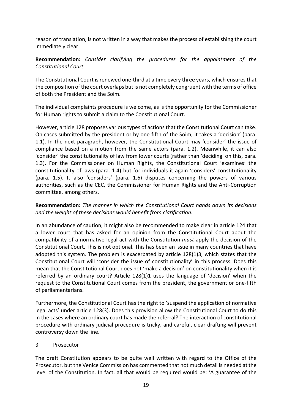reason of translation, is not written in a way that makes the process of establishing the court immediately clear.

**Recommendation:** *Consider clarifying the procedures for the appointment of the Constitutional Court.*

The Constitutional Court is renewed one-third at a time every three years, which ensures that the composition of the court overlaps but is not completely congruent with the terms of office of both the President and the Soim.

The individual complaints procedure is welcome, as is the opportunity for the Commissioner for Human rights to submit a claim to the Constitutional Court.

However, article 128 proposes various types of actions that the Constitutional Court can take. On cases submitted by the president or by one-fifth of the Soim, it takes a 'decision' (para. 1.1). In the next paragraph, however, the Constitutional Court may 'consider' the issue of compliance based on a motion from the same actors (para. 1.2). Meanwhile, it can also 'consider' the constitutionality of law from lower courts (rather than 'deciding' on this, para. 1.3). For the Commissioner on Human Rights, the Constitutional Court 'examines' the constitutionality of laws (para. 1.4) but for individuals it again 'considers' constitutionality (para. 1.5). It also 'considers' (para. 1.6) disputes concerning the powers of various authorities, such as the CEC, the Commissioner for Human Rights and the Anti-Corruption committee, among others.

#### **Recommendation:** *The manner in which the Constitutional Court hands down its decisions and the weight of these decisions would benefit from clarification.*

In an abundance of caution, it might also be recommended to make clear in article 124 that a lower court that has asked for an opinion from the Constitutional Court about the compatibility of a normative legal act with the Constitution *must* apply the decision of the Constitutional Court. This is not optional. This has been an issue in many countries that have adopted this system. The problem is exacerbated by article 128(1)3, which states that the Constitutional Court will 'consider the issue of constitutionality' in this process. Does this mean that the Constitutional Court does not 'make a decision' on constitutionality when it is referred by an ordinary court? Article 128(1)1 uses the language of 'decision' when the request to the Constitutional Court comes from the president, the government or one-fifth of parliamentarians.

Furthermore, the Constitutional Court has the right to 'suspend the application of normative legal acts' under article 128(3). Does this provision allow the Constitutional Court to do this in the cases where an ordinary court has made the referral? The interaction of constitutional procedure with ordinary judicial procedure is tricky, and careful, clear drafting will prevent controversy down the line.

#### 3. Prosecutor

The draft Constitution appears to be quite well written with regard to the Office of the Prosecutor, but the Venice Commission has commented that not much detail is needed at the level of the Constitution. In fact, all that would be required would be: 'A guarantee of the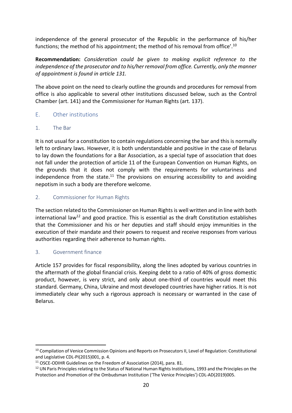independence of the general prosecutor of the Republic in the performance of his/her functions; the method of his appointment; the method of his removal from office'.10

**Recommendation:** *Consideration could be given to making explicit reference to the independence of the prosecutor and to his/her removal from office. Currently, only the manner of appointment is found in article 131.*

The above point on the need to clearly outline the grounds and procedures for removal from office is also applicable to several other institutions discussed below, such as the Control Chamber (art. 141) and the Commissioner for Human Rights (art. 137).

#### E. Other institutions

#### 1. The Bar

It is not usual for a constitution to contain regulations concerning the bar and this is normally left to ordinary laws. However, it is both understandable and positive in the case of Belarus to lay down the foundations for a Bar Association, as a special type of association that does not fall under the protection of article 11 of the European Convention on Human Rights, on the grounds that it does not comply with the requirements for voluntariness and independence from the state.<sup>11</sup> The provisions on ensuring accessibility to and avoiding nepotism in such a body are therefore welcome.

#### 2. Commissioner for Human Rights

The section related to the Commissioner on Human Rights is well written and in line with both international law<sup>12</sup> and good practice. This is essential as the draft Constitution establishes that the Commissioner and his or her deputies and staff should enjoy immunities in the execution of their mandate and their powers to request and receive responses from various authorities regarding their adherence to human rights.

#### 3. Government finance

Article 157 provides for fiscal responsibility, along the lines adopted by various countries in the aftermath of the global financial crisis. Keeping debt to a ratio of 40% of gross domestic product, however, is very strict, and only about one-third of countries would meet this standard. Germany, China, Ukraine and most developed countries have higher ratios. It is not immediately clear why such a rigorous approach is necessary or warranted in the case of Belarus.

<sup>&</sup>lt;sup>10</sup> Compilation of Venice Commission Opinions and Reports on Prosecutors II, Level of Regulation: Constitutional and Legislative CDL-PI(2015)001, p. 4.

<sup>&</sup>lt;sup>11</sup> OSCE-ODIHR Guidelines on the Freedom of Association (2014), para. 81.

 $12$  UN Paris Principles relating to the Status of National Human Rights Institutions, 1993 and the Principles on the Protection and Promotion of the Ombudsman Institution ('The Venice Principles') CDL-AD(2019)005.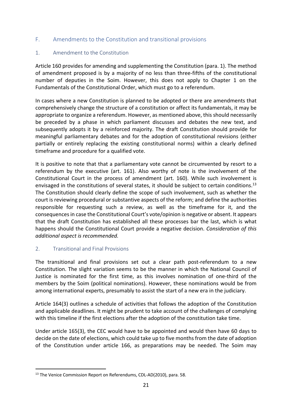#### F. Amendments to the Constitution and transitional provisions

#### 1. Amendment to the Constitution

Article 160 provides for amending and supplementing the Constitution (para. 1). The method of amendment proposed is by a majority of no less than three-fifths of the constitutional number of deputies in the Soim. However, this does not apply to Chapter 1 on the Fundamentals of the Constitutional Order, which must go to a referendum.

In cases where a new Constitution is planned to be adopted or there are amendments that comprehensively change the structure of a constitution or affect its fundamentals, it may be appropriate to organize a referendum. However, as mentioned above, this should necessarily be preceded by a phase in which parliament discusses and debates the new text, and subsequently adopts it by a reinforced majority. The draft Constitution should provide for meaningful parliamentary debates and for the adoption of constitutional revisions (either partially or entirely replacing the existing constitutional norms) within a clearly defined timeframe and procedure for a qualified vote.

It is positive to note that that a parliamentary vote cannot be circumvented by resort to a referendum by the executive (art. 161). Also worthy of note is the involvement of the Constitutional Court in the process of amendment (art. 160). While such involvement is envisaged in the constitutions of several states, it should be subject to certain conditions.<sup>13</sup> The Constitution should clearly define the scope of such involvement, such as whether the court is reviewing procedural or substantive aspects of the reform; and define the authorities responsible for requesting such a review, as well as the timeframe for it, and the consequences in case the Constitutional Court's vote/opinion is negative or absent. It appears that the draft Constitution has established all these processes bar the last, which is what happens should the Constitutional Court provide a negative decision. *Consideration of this additional aspect is recommended.*

#### 2. Transitional and Final Provisions

The transitional and final provisions set out a clear path post-referendum to a new Constitution. The slight variation seems to be the manner in which the National Council of Justice is nominated for the first time, as this involves nomination of one-third of the members by the Soim (political nominations). However, these nominations would be from among international experts, presumably to assist the start of a new era in the judiciary.

Article 164(3) outlines a schedule of activities that follows the adoption of the Constitution and applicable deadlines. It might be prudent to take account of the challenges of complying with this timeline if the first elections after the adoption of the constitution take time.

Under article 165(3), the CEC would have to be appointed and would then have 60 days to decide on the date of elections, which could take up to five months from the date of adoption of the Constitution under article 166, as preparations may be needed. The Soim may

<sup>&</sup>lt;sup>13</sup> The Venice Commission Report on Referendums, CDL-AD(2010), para. 58.